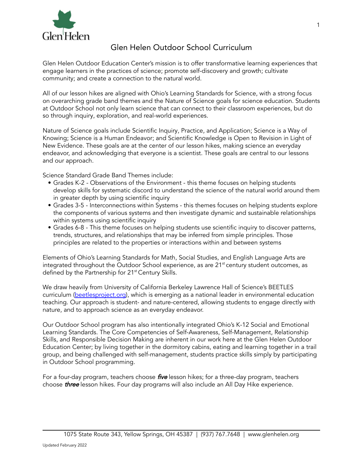

# Glen Helen Outdoor School Curriculum

Glen Helen Outdoor Education Center's mission is to offer transformative learning experiences that engage learners in the practices of science; promote self-discovery and growth; cultivate community; and create a connection to the natural world.

All of our lesson hikes are aligned with Ohio's Learning Standards for Science, with a strong focus on overarching grade band themes and the Nature of Science goals for science education. Students at Outdoor School not only learn science that can connect to their classroom experiences, but do so through inquiry, exploration, and real-world experiences.

Nature of Science goals include Scientific Inquiry, Practice, and Application; Science is a Way of Knowing; Science is a Human Endeavor; and Scientific Knowledge is Open to Revision in Light of New Evidence. These goals are at the center of our lesson hikes, making science an everyday endeavor, and acknowledging that everyone is a scientist. These goals are central to our lessons and our approach.

Science Standard Grade Band Themes include:

- Grades K-2 Observations of the Environment this theme focuses on helping students develop skills for systematic discord to understand the science of the natural world around them in greater depth by using scientific inquiry
- Grades 3-5 Interconnections within Systems this themes focuses on helping students explore the components of various systems and then investigate dynamic and sustainable relationships within systems using scientific inquiry
- Grades 6-8 This theme focuses on helping students use scientific inquiry to discover patterns, trends, structures, and relationships that may be inferred from simple principles. Those principles are related to the properties or interactions within and between systems

Elements of Ohio's Learning Standards for Math, Social Studies, and English Language Arts are integrated throughout the Outdoor School experience, as are 21<sup>st</sup> century student outcomes, as defined by the Partnership for 21<sup>st</sup> Century Skills.

We draw heavily from University of California Berkeley Lawrence Hall of Science's BEETLES curriculum [\(beetlesproject.org](http://beetlesproject.org)), which is emerging as a national leader in environmental education teaching. Our approach is student- and nature-centered, allowing students to engage directly with nature, and to approach science as an everyday endeavor.

Our Outdoor School program has also intentionally integrated Ohio's K-12 Social and Emotional Learning Standards. The Core Competencies of Self-Awareness, Self-Management, Relationship Skills, and Responsible Decision Making are inherent in our work here at the Glen Helen Outdoor Education Center; by living together in the dormitory cabins, eating and learning together in a trail group, and being challenged with self-management, students practice skills simply by participating in Outdoor School programming.

For a four-day program, teachers choose *five* lesson hikes; for a three-day program, teachers choose *three* lesson hikes. Four day programs will also include an All Day Hike experience.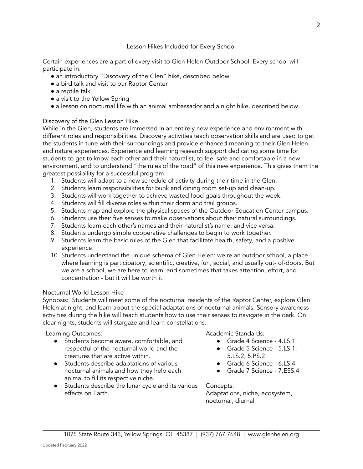# Lesson Hikes Included for Every School

Certain experiences are a part of every visit to Glen Helen Outdoor School. Every school will participate in:

- an introductory "Discovery of the Glen" hike, described below
- a bird talk and visit to our Raptor Center
- a reptile talk
- a visit to the Yellow Spring
- a lesson on nocturnal life with an animal ambassador and a night hike, described below

# Discovery of the Glen Lesson Hike

While in the Glen, students are immersed in an entirely new experience and environment with different roles and responsibilities. Discovery activities teach observation skills and are used to get the students in tune with their surroundings and provide enhanced meaning to their Glen Helen and nature experiences. Experience and learning research support dedicating some time for students to get to know each other and their naturalist, to feel safe and comfortable in a new environment, and to understand "the rules of the road" of this new experience. This gives them the greatest possibility for a successful program.

- 1. Students will adapt to a new schedule of activity during their time in the Glen.
- 2. Students learn responsibilities for bunk and dining room set-up and clean-up.
- 3. Students will work together to achieve wasted food goals throughout the week.
- 4. Students will fill diverse roles within their dorm and trail groups.
- 5. Students map and explore the physical spaces of the Outdoor Education Center campus.
- 6. Students use their five senses to make observations about their natural surroundings.
- 7. Students learn each other's names and their naturalist's name, and vice versa.
- 8. Students undergo simple cooperative challenges to begin to work together.
- 9. Students learn the basic rules of the Glen that facilitate health, safety, and a positive experience.
- 10. Students understand the unique schema of Glen Helen: we're an outdoor school, a place where learning is participatory, scientific, creative, fun, social, and usually out- of-doors. But we are a school, we are here to learn, and sometimes that takes attention, effort, and concentration - but it will be worth it.

# Nocturnal World Lesson Hike

Synopsis: Students will meet some of the nocturnal residents of the Raptor Center, explore Glen Helen at night, and learn about the special adaptations of nocturnal animals. Sensory awareness activities during the hike will teach students how to use their senses to navigate in the dark. On clear nights, students will stargaze and learn constellations.

Learning Outcomes:

- Students become aware, comfortable, and respectful of the nocturnal world and the creatures that are active within.
- Students describe adaptations of various nocturnal animals and how they help each animal to fill its respective niche.
- Students describe the lunar cycle and its various effects on Earth.

Academic Standards:

- Grade 4 Science 4.LS.1
- Grade 5 Science 5.LS.1,
- 5.LS.2; 5.PS.2
- Grade 6 Science 6.LS.4
- Grade 7 Science 7.ESS.4

Concepts: Adaptations, niche, ecosystem, nocturnal, diurnal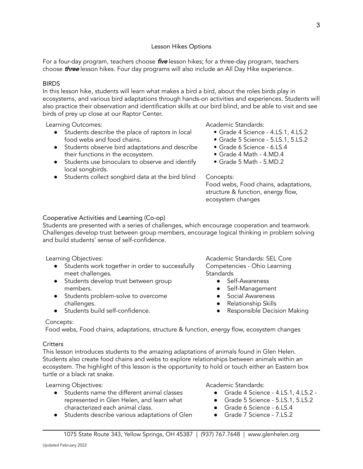#### Lesson Hikes Options

For a four-day program, teachers choose *five* lesson hikes; for a three-day program, teachers choose **three** lesson hikes. Four day programs will also include an All Day Hike experience.

#### **BIRDS**

In this lesson hike, students will learn what makes a bird a bird, about the roles birds play in ecosystems, and various bird adaptations through hands-on activities and experiences. Students will also practice their observation and identification skills at our bird blind, and be able to visit and see birds of prey up close at our Raptor Center.

Learning Outcomes:

- Students describe the place of raptors in local food webs and food chains.
- Students observe bird adaptations and describe their functions in the ecosystem.
- Students use binoculars to observe and identify local songbirds.
- Students collect songbird data at the bird blind

Academic Standards:

- Grade 4 Science 4.LS.1, 4.LS.2
- Grade 5 Science 5.LS.1, 5.LS.2
- Grade 6 Science 6.LS.4
- Grade 4 Math 4.MD.4
- Grade 5 Math 5.MD.2

#### Concepts:

Food webs, Food chains, adaptations, structure & function, energy flow, ecosystem changes

### Cooperative Activities and Learning (Co-op)

Students are presented with a series of challenges, which encourage cooperation and teamwork. Challenges develop trust between group members, encourage logical thinking in problem solving and build students' sense of self-confidence.

Learning Objectives:

- Students work together in order to successfully meet challenges.
- Students develop trust between group members.
- Students problem-solve to overcome challenges.
- Students build self-confidence.

Academic Standards: SEL Core Competencies - Ohio Learning **Standards** 

- Self-Awareness
- Self-Management
- Social Awareness
- Relationship Skills
- Responsible Decision Making

### Concepts:

Food webs, Food chains, adaptations, structure & function, energy flow, ecosystem changes

### **Critters**

This lesson introduces students to the amazing adaptations of animals found in Glen Helen. Students also create food chains and webs to explore relationships between animals within an ecosystem. The highlight of this lesson is the opportunity to hold or touch either an Eastern box turtle or a black rat snake.

Learning Objectives:

- Students name the different animal classes represented in Glen Helen, and learn what characterized each animal class.
- Students describe various adaptations of Glen

Academic Standards:

- Grade 4 Science 4.LS.1, 4.LS.2 -
- Grade 5 Science 5.LS.1, 5.LS.2
- Grade 6 Science 6.LS.4
- Grade 7 Science 7.LS.2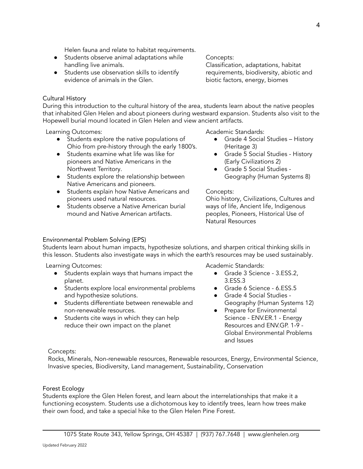Helen fauna and relate to habitat requirements.

- Students observe animal adaptations while handling live animals.
- Students use observation skills to identify evidence of animals in the Glen.

Concepts:

Classification, adaptations, habitat requirements, biodiversity, abiotic and biotic factors, energy, biomes

## Cultural History

During this introduction to the cultural history of the area, students learn about the native peoples that inhabited Glen Helen and about pioneers during westward expansion. Students also visit to the Hopewell burial mound located in Glen Helen and view ancient artifacts.

Learning Outcomes:

- Students explore the native populations of Ohio from pre-history through the early 1800's.
- Students examine what life was like for pioneers and Native Americans in the Northwest Territory.
- Students explore the relationship between Native Americans and pioneers.
- Students explain how Native Americans and pioneers used natural resources.
- Students observe a Native American burial mound and Native American artifacts.

Academic Standards:

- Grade 4 Social Studies History (Heritage 3)
- Grade 5 Social Studies History (Early Civilizations 2)
- Grade 5 Social Studies Geography (Human Systems 8)

### Concepts:

Ohio history, Civilizations, Cultures and ways of life, Ancient life, Indigenous peoples, Pioneers, Historical Use of Natural Resources

### Environmental Problem Solving (EPS)

Students learn about human impacts, hypothesize solutions, and sharpen critical thinking skills in this lesson. Students also investigate ways in which the earth's resources may be used sustainably.

Learning Outcomes:

- Students explain ways that humans impact the planet.
- Students explore local environmental problems and hypothesize solutions.
- Students differentiate between renewable and non-renewable resources.
- Students cite ways in which they can help reduce their own impact on the planet

Academic Standards:

- Grade 3 Science 3.ESS.2, 3.ESS.3
- Grade 6 Science 6.ESS.5
- Grade 4 Social Studies Geography (Human Systems 12)
- Prepare for Environmental Science - ENV.ER.1 - Energy Resources and ENV.GP. 1-9 - Global Environmental Problems and Issues

### Concepts:

Rocks, Minerals, Non-renewable resources, Renewable resources, Energy, Environmental Science, Invasive species, Biodiversity, Land management, Sustainability, Conservation

### Forest Ecology

Students explore the Glen Helen forest, and learn about the interrelationships that make it a functioning ecosystem. Students use a dichotomous key to identify trees, learn how trees make their own food, and take a special hike to the Glen Helen Pine Forest.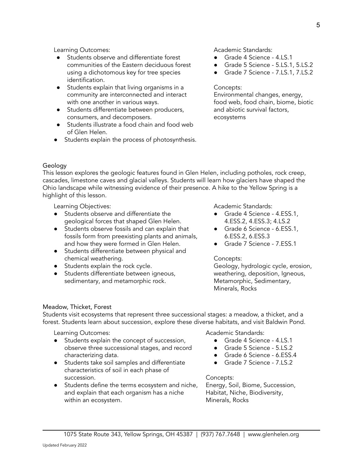Learning Outcomes:

- Students observe and differentiate forest communities of the Eastern deciduous forest using a dichotomous key for tree species identification.
- Students explain that living organisms in a community are interconnected and interact with one another in various ways.
- Students differentiate between producers, consumers, and decomposers.
- Students illustrate a food chain and food web of Glen Helen.
- Students explain the process of photosynthesis.

Academic Standards:

- Grade 4 Science 4.LS.1
- Grade 5 Science 5.LS.1, 5.LS.2
- Grade 7 Science 7.LS.1, 7.LS.2

#### Concepts:

Environmental changes, energy, food web, food chain, biome, biotic and abiotic survival factors, ecosystems

# Geology

This lesson explores the geologic features found in Glen Helen, including potholes, rock creep, cascades, limestone caves and glacial valleys. Students will learn how glaciers have shaped the Ohio landscape while witnessing evidence of their presence. A hike to the Yellow Spring is a highlight of this lesson.

Learning Objectives:

- Students observe and differentiate the geological forces that shaped Glen Helen.
- Students observe fossils and can explain that fossils form from preexisting plants and animals, and how they were formed in Glen Helen.
- Students differentiate between physical and chemical weathering.
- Students explain the rock cycle.
- Students differentiate between igneous, sedimentary, and metamorphic rock.

Academic Standards:

- Grade 4 Science 4.ESS.1, 4.ESS.2, 4.ESS.3; 4.LS.2
- Grade 6 Science 6.ESS.1, 6.ESS.2, 6.ESS.3
- Grade 7 Science 7.ESS.1

# Concepts:

Geology, hydrologic cycle, erosion, weathering, deposition, Igneous, Metamorphic, Sedimentary, Minerals, Rocks

### Meadow, Thicket, Forest

Students visit ecosystems that represent three successional stages: a meadow, a thicket, and a forest. Students learn about succession, explore these diverse habitats, and visit Baldwin Pond.

Learning Outcomes:

- Students explain the concept of succession, observe three successional stages, and record characterizing data.
- Students take soil samples and differentiate characteristics of soil in each phase of succession.
- Students define the terms ecosystem and niche, and explain that each organism has a niche within an ecosystem.

Academic Standards:

- Grade 4 Science 4.LS.1
- Grade 5 Science 5.LS.2
- Grade 6 Science 6.ESS.4
- Grade 7 Science 7.LS.2

Concepts: Energy, Soil, Biome, Succession, Habitat, Niche, Biodiversity, Minerals, Rocks